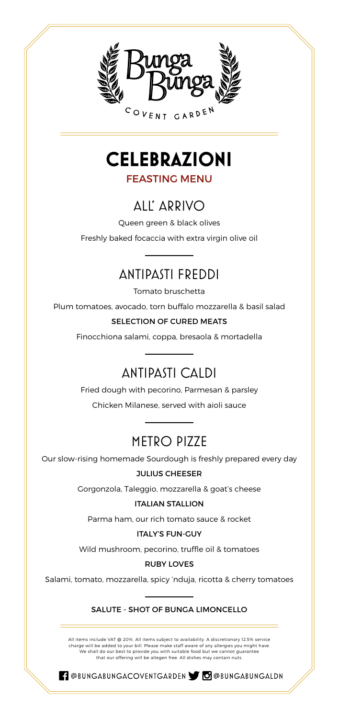

**CELEBRAZIONI** FEASTING MENU

## ALL' ARRIVO

Queen green & black olives

Freshly baked focaccia with extra virgin olive oil

### ANTIPASTI FREDDI

Tomato bruschetta

Plum tomatoes, avocado, torn buffalo mozzarella & basil salad

### SELECTION OF CURED MEATS

Finocchiona salami, coppa, bresaola & mortadella

## ANTIPASTI CALDI

Fried dough with pecorino, Parmesan & parsley Chicken Milanese, served with aioli sauce

### METRO PIZZE

Our slow-rising homemade Sourdough is freshly prepared every day

### JULIUS CHEESER

Gorgonzola, Taleggio, mozzarella & goat's cheese

#### ITALIAN STALLION

Parma ham, our rich tomato sauce & rocket

#### ITALY'S FUN-GUY

Wild mushroom, pecorino, truffle oil & tomatoes

### RUBY LOVES

Salami, tomato, mozzarella, spicy 'nduja, ricotta & cherry tomatoes

### SALUTE - SHOT OF BUNGA LIMONCELLO

All items include VAT @ 20%. All items subject to availability. A discretionary 12.5% service charge will be added to your bill. Please make staff aware of any allergies you might have.<br>We shall do our best to provide you with suitable food but we cannot guarantee<br>that our offering will be allegen free. All dishes

RI @BUNGABUNGACOVENTGARDEN STO @BUNGABUNGALDN